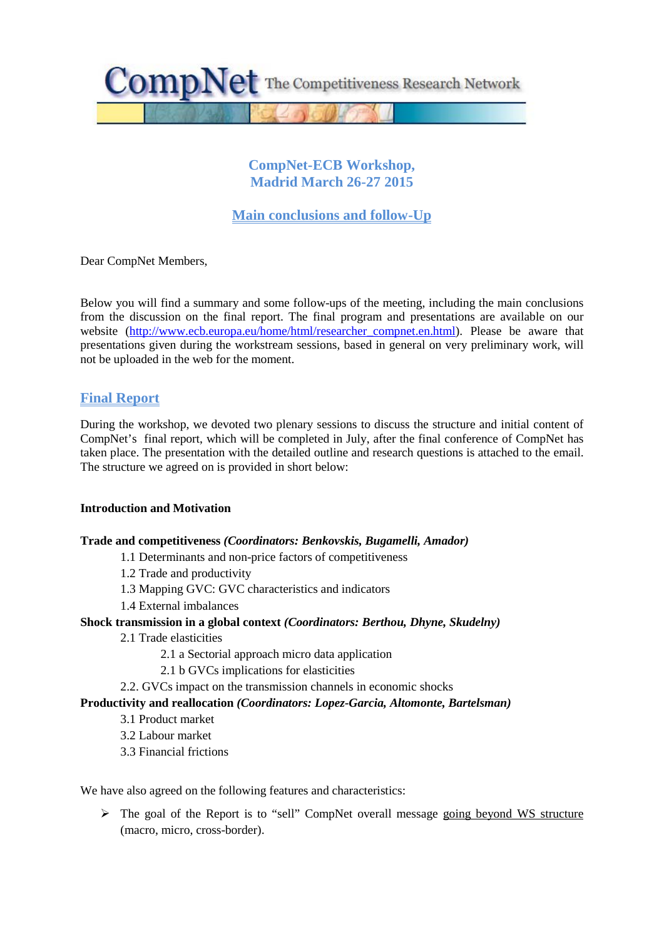

## **CompNet-ECB Workshop, Madrid March 26-27 2015**

# **Main conclusions and follow-Up**

Dear CompNet Members,

Below you will find a summary and some follow-ups of the meeting, including the main conclusions from the discussion on the final report. The final program and presentations are available on our website [\(http://www.ecb.europa.eu/home/html/researcher\\_compnet.en.html\)](http://www.ecb.europa.eu/home/html/researcher_compnet.en.html). Please be aware that presentations given during the workstream sessions, based in general on very preliminary work, will not be uploaded in the web for the moment.

## **Final Report**

During the workshop, we devoted two plenary sessions to discuss the structure and initial content of CompNet's final report, which will be completed in July, after the final conference of CompNet has taken place. The presentation with the detailed outline and research questions is attached to the email. The structure we agreed on is provided in short below:

#### **Introduction and Motivation**

#### **Trade and competitiveness** *(Coordinators: Benkovskis, Bugamelli, Amador)*

- 1.1 Determinants and non-price factors of competitiveness
- 1.2 Trade and productivity
- 1.3 Mapping GVC: GVC characteristics and indicators
- 1.4 External imbalances

## **Shock transmission in a global context** *(Coordinators: Berthou, Dhyne, Skudelny)*

- 2.1 Trade elasticities
	- 2.1 a Sectorial approach micro data application
	- 2.1 b GVCs implications for elasticities
- 2.2. GVCs impact on the transmission channels in economic shocks

#### **Productivity and reallocation** *(Coordinators: Lopez-Garcia, Altomonte, Bartelsman)*

- 3.1 Product market
- 3.2 Labour market
- 3.3 Financial frictions

We have also agreed on the following features and characteristics:

 The goal of the Report is to "sell" CompNet overall message going beyond WS structure (macro, micro, cross-border).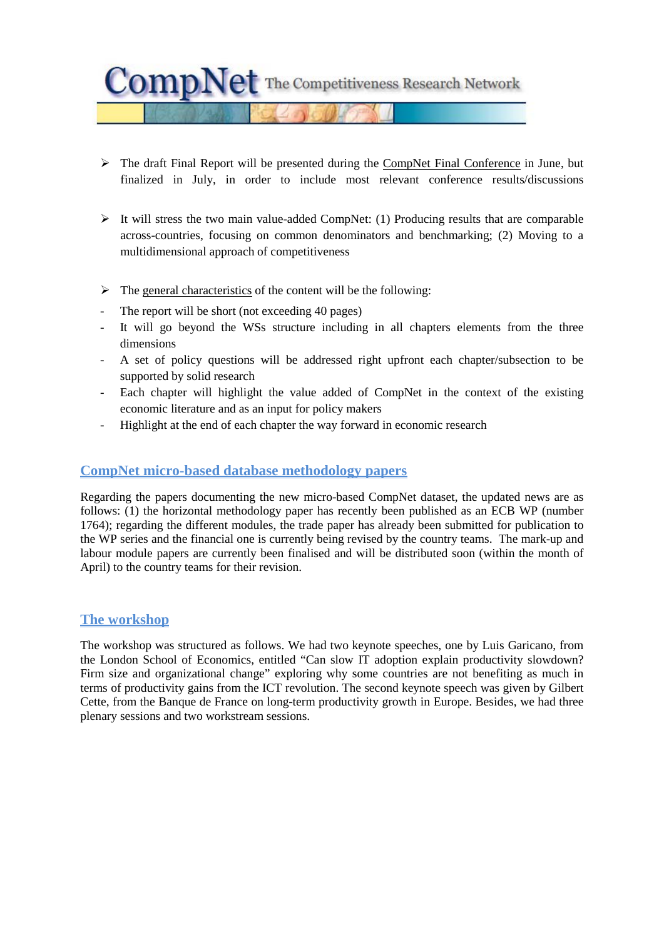$\text{CompNet}$  The Competitiveness Research Network

- $\triangleright$  The draft Final Report will be presented during the CompNet Final Conference in June, but finalized in July, in order to include most relevant conference results/discussions
- $\triangleright$  It will stress the two main value-added CompNet: (1) Producing results that are comparable across-countries, focusing on common denominators and benchmarking; (2) Moving to a multidimensional approach of competitiveness
- $\triangleright$  The general characteristics of the content will be the following:
- The report will be short (not exceeding 40 pages)
- It will go beyond the WSs structure including in all chapters elements from the three dimensions
- A set of policy questions will be addressed right upfront each chapter/subsection to be supported by solid research
- Each chapter will highlight the value added of CompNet in the context of the existing economic literature and as an input for policy makers
- Highlight at the end of each chapter the way forward in economic research

## **CompNet micro-based database methodology papers**

Regarding the papers documenting the new micro-based CompNet dataset, the updated news are as follows: (1) the horizontal methodology paper has recently been published as an ECB WP (number 1764); regarding the different modules, the trade paper has already been submitted for publication to the WP series and the financial one is currently being revised by the country teams. The mark-up and labour module papers are currently been finalised and will be distributed soon (within the month of April) to the country teams for their revision.

## **The workshop**

The workshop was structured as follows. We had two keynote speeches, one by Luis Garicano, from the London School of Economics, entitled "Can slow IT adoption explain productivity slowdown? Firm size and organizational change" exploring why some countries are not benefiting as much in terms of productivity gains from the ICT revolution. The second keynote speech was given by Gilbert Cette, from the Banque de France on long-term productivity growth in Europe. Besides, we had three plenary sessions and two workstream sessions.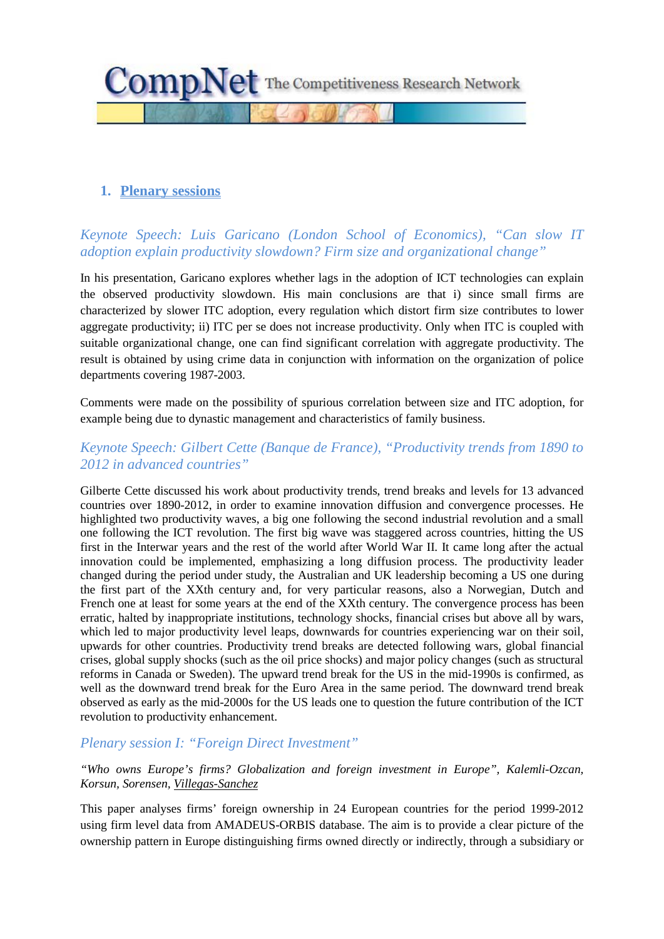

## **1. Plenary sessions**

# *Keynote Speech: Luis Garicano (London School of Economics), "Can slow IT adoption explain productivity slowdown? Firm size and organizational change"*

In his presentation, Garicano explores whether lags in the adoption of ICT technologies can explain the observed productivity slowdown. His main conclusions are that i) since small firms are characterized by slower ITC adoption, every regulation which distort firm size contributes to lower aggregate productivity; ii) ITC per se does not increase productivity. Only when ITC is coupled with suitable organizational change, one can find significant correlation with aggregate productivity. The result is obtained by using crime data in conjunction with information on the organization of police departments covering 1987-2003.

Comments were made on the possibility of spurious correlation between size and ITC adoption, for example being due to dynastic management and characteristics of family business.

## *Keynote Speech: Gilbert Cette (Banque de France), "Productivity trends from 1890 to 2012 in advanced countries"*

Gilberte Cette discussed his work about productivity trends, trend breaks and levels for 13 advanced countries over 1890-2012, in order to examine innovation diffusion and convergence processes. He highlighted two productivity waves, a big one following the second industrial revolution and a small one following the ICT revolution. The first big wave was staggered across countries, hitting the US first in the Interwar years and the rest of the world after World War II. It came long after the actual innovation could be implemented, emphasizing a long diffusion process. The productivity leader changed during the period under study, the Australian and UK leadership becoming a US one during the first part of the XXth century and, for very particular reasons, also a Norwegian, Dutch and French one at least for some years at the end of the XXth century. The convergence process has been erratic, halted by inappropriate institutions, technology shocks, financial crises but above all by wars, which led to major productivity level leaps, downwards for countries experiencing war on their soil, upwards for other countries. Productivity trend breaks are detected following wars, global financial crises, global supply shocks (such as the oil price shocks) and major policy changes (such as structural reforms in Canada or Sweden). The upward trend break for the US in the mid-1990s is confirmed, as well as the downward trend break for the Euro Area in the same period. The downward trend break observed as early as the mid-2000s for the US leads one to question the future contribution of the ICT revolution to productivity enhancement.

## *Plenary session I: "Foreign Direct Investment"*

*"Who owns Europe's firms? Globalization and foreign investment in Europe", Kalemli-Ozcan, Korsun, Sorensen, Villegas-Sanchez*

This paper analyses firms' foreign ownership in 24 European countries for the period 1999-2012 using firm level data from AMADEUS-ORBIS database. The aim is to provide a clear picture of the ownership pattern in Europe distinguishing firms owned directly or indirectly, through a subsidiary or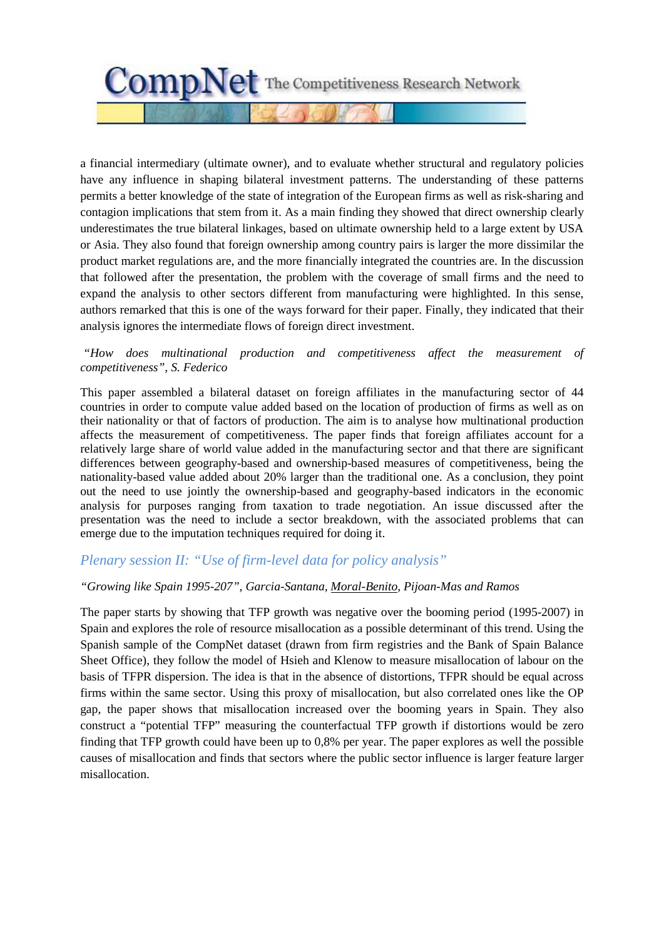

a financial intermediary (ultimate owner), and to evaluate whether structural and regulatory policies have any influence in shaping bilateral investment patterns. The understanding of these patterns permits a better knowledge of the state of integration of the European firms as well as risk-sharing and contagion implications that stem from it. As a main finding they showed that direct ownership clearly underestimates the true bilateral linkages, based on ultimate ownership held to a large extent by USA or Asia. They also found that foreign ownership among country pairs is larger the more dissimilar the product market regulations are, and the more financially integrated the countries are. In the discussion that followed after the presentation, the problem with the coverage of small firms and the need to expand the analysis to other sectors different from manufacturing were highlighted. In this sense, authors remarked that this is one of the ways forward for their paper. Finally, they indicated that their analysis ignores the intermediate flows of foreign direct investment.

### *"How does multinational production and competitiveness affect the measurement of competitiveness", S. Federico*

This paper assembled a bilateral dataset on foreign affiliates in the manufacturing sector of 44 countries in order to compute value added based on the location of production of firms as well as on their nationality or that of factors of production. The aim is to analyse how multinational production affects the measurement of competitiveness. The paper finds that foreign affiliates account for a relatively large share of world value added in the manufacturing sector and that there are significant differences between geography-based and ownership-based measures of competitiveness, being the nationality-based value added about 20% larger than the traditional one. As a conclusion, they point out the need to use jointly the ownership-based and geography-based indicators in the economic analysis for purposes ranging from taxation to trade negotiation. An issue discussed after the presentation was the need to include a sector breakdown, with the associated problems that can emerge due to the imputation techniques required for doing it.

# *Plenary session II: "Use of firm-level data for policy analysis"*

#### *"Growing like Spain 1995-207", Garcia-Santana, Moral-Benito, Pijoan-Mas and Ramos*

The paper starts by showing that TFP growth was negative over the booming period (1995-2007) in Spain and explores the role of resource misallocation as a possible determinant of this trend. Using the Spanish sample of the CompNet dataset (drawn from firm registries and the Bank of Spain Balance Sheet Office), they follow the model of Hsieh and Klenow to measure misallocation of labour on the basis of TFPR dispersion. The idea is that in the absence of distortions, TFPR should be equal across firms within the same sector. Using this proxy of misallocation, but also correlated ones like the OP gap, the paper shows that misallocation increased over the booming years in Spain. They also construct a "potential TFP" measuring the counterfactual TFP growth if distortions would be zero finding that TFP growth could have been up to 0,8% per year. The paper explores as well the possible causes of misallocation and finds that sectors where the public sector influence is larger feature larger misallocation.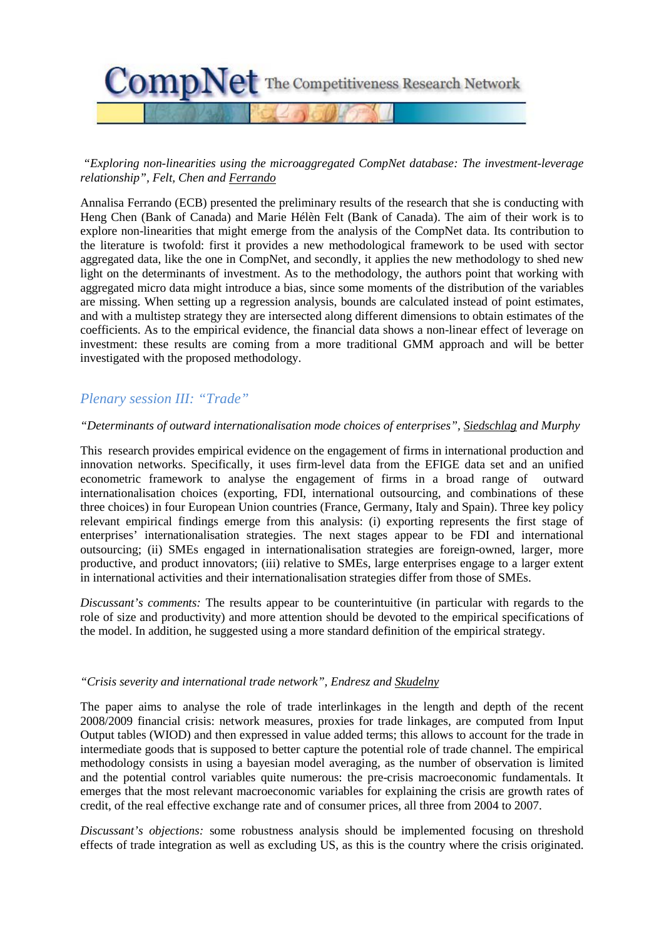

### *"Exploring non-linearities using the microaggregated CompNet database: The investment-leverage relationship", Felt, Chen and Ferrando*

Annalisa Ferrando (ECB) presented the preliminary results of the research that she is conducting with Heng Chen (Bank of Canada) and Marie Hélèn Felt (Bank of Canada). The aim of their work is to explore non-linearities that might emerge from the analysis of the CompNet data. Its contribution to the literature is twofold: first it provides a new methodological framework to be used with sector aggregated data, like the one in CompNet, and secondly, it applies the new methodology to shed new light on the determinants of investment. As to the methodology, the authors point that working with aggregated micro data might introduce a bias, since some moments of the distribution of the variables are missing. When setting up a regression analysis, bounds are calculated instead of point estimates, and with a multistep strategy they are intersected along different dimensions to obtain estimates of the coefficients. As to the empirical evidence, the financial data shows a non-linear effect of leverage on investment: these results are coming from a more traditional GMM approach and will be better investigated with the proposed methodology.

# *Plenary session III: "Trade"*

#### *"Determinants of outward internationalisation mode choices of enterprises", Siedschlag and Murphy*

This research provides empirical evidence on the engagement of firms in international production and innovation networks. Specifically, it uses firm-level data from the EFIGE data set and an unified econometric framework to analyse the engagement of firms in a broad range of outward internationalisation choices (exporting, FDI, international outsourcing, and combinations of these three choices) in four European Union countries (France, Germany, Italy and Spain). Three key policy relevant empirical findings emerge from this analysis: (i) exporting represents the first stage of enterprises' internationalisation strategies. The next stages appear to be FDI and international outsourcing; (ii) SMEs engaged in internationalisation strategies are foreign-owned, larger, more productive, and product innovators; (iii) relative to SMEs, large enterprises engage to a larger extent in international activities and their internationalisation strategies differ from those of SMEs.

*Discussant's comments:* The results appear to be counterintuitive (in particular with regards to the role of size and productivity) and more attention should be devoted to the empirical specifications of the model. In addition, he suggested using a more standard definition of the empirical strategy.

#### *"Crisis severity and international trade network", Endresz and Skudelny*

The paper aims to analyse the role of trade interlinkages in the length and depth of the recent 2008/2009 financial crisis: network measures, proxies for trade linkages, are computed from Input Output tables (WIOD) and then expressed in value added terms; this allows to account for the trade in intermediate goods that is supposed to better capture the potential role of trade channel. The empirical methodology consists in using a bayesian model averaging, as the number of observation is limited and the potential control variables quite numerous: the pre-crisis macroeconomic fundamentals. It emerges that the most relevant macroeconomic variables for explaining the crisis are growth rates of credit, of the real effective exchange rate and of consumer prices, all three from 2004 to 2007.

*Discussant's objections:* some robustness analysis should be implemented focusing on threshold effects of trade integration as well as excluding US, as this is the country where the crisis originated.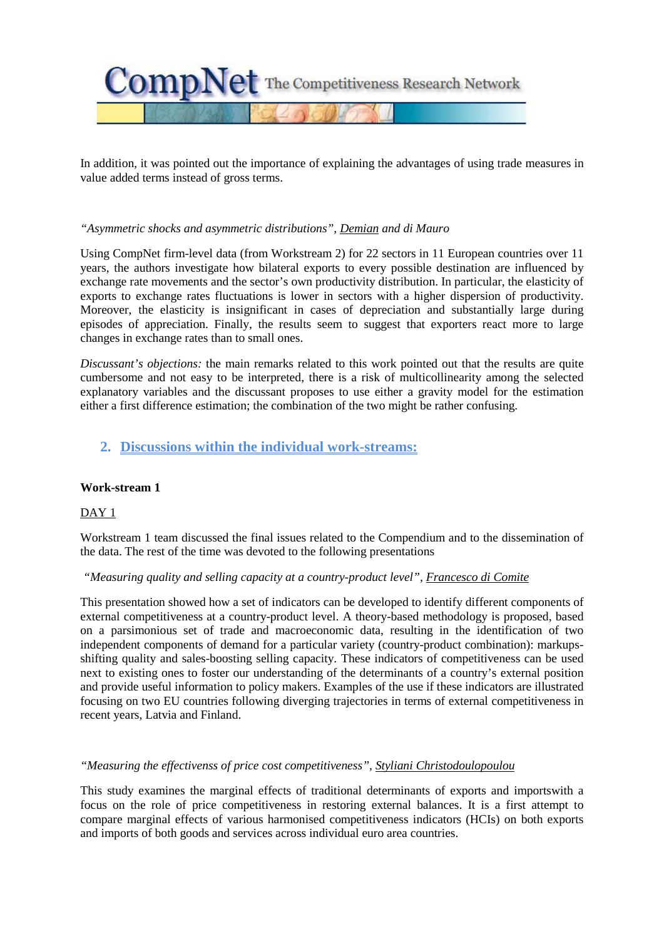

In addition, it was pointed out the importance of explaining the advantages of using trade measures in value added terms instead of gross terms.

#### *"Asymmetric shocks and asymmetric distributions", Demian and di Mauro*

Using CompNet firm-level data (from Workstream 2) for 22 sectors in 11 European countries over 11 years, the authors investigate how bilateral exports to every possible destination are influenced by exchange rate movements and the sector's own productivity distribution. In particular, the elasticity of exports to exchange rates fluctuations is lower in sectors with a higher dispersion of productivity. Moreover, the elasticity is insignificant in cases of depreciation and substantially large during episodes of appreciation. Finally, the results seem to suggest that exporters react more to large changes in exchange rates than to small ones.

*Discussant's objections:* the main remarks related to this work pointed out that the results are quite cumbersome and not easy to be interpreted, there is a risk of multicollinearity among the selected explanatory variables and the discussant proposes to use either a gravity model for the estimation either a first difference estimation; the combination of the two might be rather confusing.

## **2. Discussions within the individual work-streams:**

#### **Work-stream 1**

#### DAY 1

Workstream 1 team discussed the final issues related to the Compendium and to the dissemination of the data. The rest of the time was devoted to the following presentations

#### *"Measuring quality and selling capacity at a country-product level", Francesco di Comite*

This presentation showed how a set of indicators can be developed to identify different components of external competitiveness at a country-product level. A theory-based methodology is proposed, based on a parsimonious set of trade and macroeconomic data, resulting in the identification of two independent components of demand for a particular variety (country-product combination): markupsshifting quality and sales-boosting selling capacity. These indicators of competitiveness can be used next to existing ones to foster our understanding of the determinants of a country's external position and provide useful information to policy makers. Examples of the use if these indicators are illustrated focusing on two EU countries following diverging trajectories in terms of external competitiveness in recent years, Latvia and Finland.

#### *"Measuring the effectivenss of price cost competitiveness", Styliani Christodoulopoulou*

This study examines the marginal effects of traditional determinants of exports and importswith a focus on the role of price competitiveness in restoring external balances. It is a first attempt to compare marginal effects of various harmonised competitiveness indicators (HCIs) on both exports and imports of both goods and services across individual euro area countries.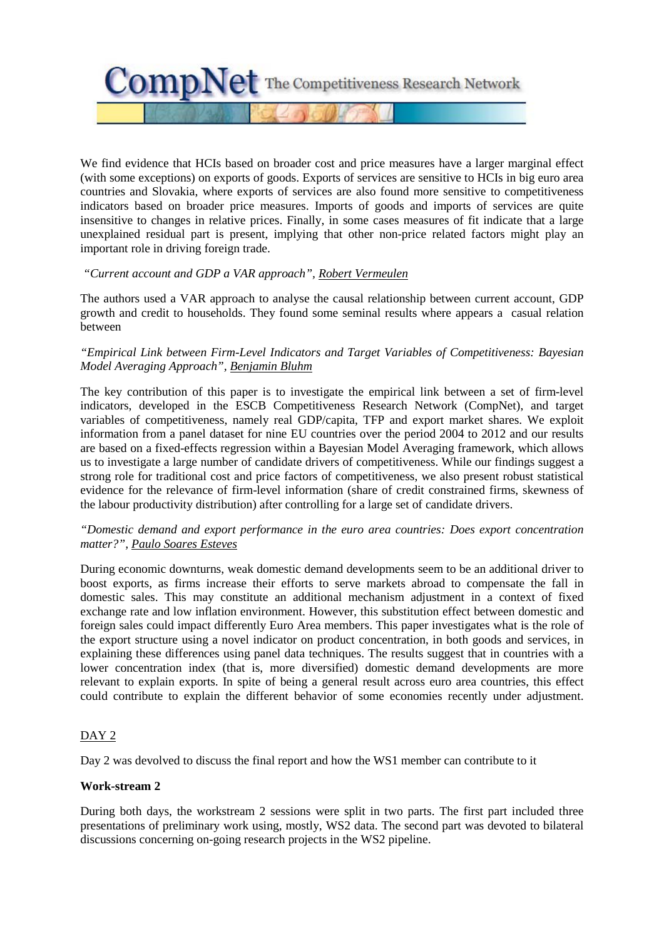

We find evidence that HCIs based on broader cost and price measures have a larger marginal effect (with some exceptions) on exports of goods. Exports of services are sensitive to HCIs in big euro area countries and Slovakia, where exports of services are also found more sensitive to competitiveness indicators based on broader price measures. Imports of goods and imports of services are quite insensitive to changes in relative prices. Finally, in some cases measures of fit indicate that a large unexplained residual part is present, implying that other non-price related factors might play an important role in driving foreign trade.

### *"Current account and GDP a VAR approach", Robert Vermeulen*

The authors used a VAR approach to analyse the causal relationship between current account, GDP growth and credit to households. They found some seminal results where appears a casual relation between

### *"Empirical Link between Firm-Level Indicators and Target Variables of Competitiveness: Bayesian Model Averaging Approach", Benjamin Bluhm*

The key contribution of this paper is to investigate the empirical link between a set of firm-level indicators, developed in the ESCB Competitiveness Research Network (CompNet), and target variables of competitiveness, namely real GDP/capita, TFP and export market shares. We exploit information from a panel dataset for nine EU countries over the period 2004 to 2012 and our results are based on a fixed-effects regression within a Bayesian Model Averaging framework, which allows us to investigate a large number of candidate drivers of competitiveness. While our findings suggest a strong role for traditional cost and price factors of competitiveness, we also present robust statistical evidence for the relevance of firm-level information (share of credit constrained firms, skewness of the labour productivity distribution) after controlling for a large set of candidate drivers.

### *"Domestic demand and export performance in the euro area countries: Does export concentration matter?", Paulo Soares Esteves*

During economic downturns, weak domestic demand developments seem to be an additional driver to boost exports, as firms increase their efforts to serve markets abroad to compensate the fall in domestic sales. This may constitute an additional mechanism adjustment in a context of fixed exchange rate and low inflation environment. However, this substitution effect between domestic and foreign sales could impact differently Euro Area members. This paper investigates what is the role of the export structure using a novel indicator on product concentration, in both goods and services, in explaining these differences using panel data techniques. The results suggest that in countries with a lower concentration index (that is, more diversified) domestic demand developments are more relevant to explain exports. In spite of being a general result across euro area countries, this effect could contribute to explain the different behavior of some economies recently under adjustment.

## $DAY2$

Day 2 was devolved to discuss the final report and how the WS1 member can contribute to it

## **Work-stream 2**

During both days, the workstream 2 sessions were split in two parts. The first part included three presentations of preliminary work using, mostly, WS2 data. The second part was devoted to bilateral discussions concerning on-going research projects in the WS2 pipeline.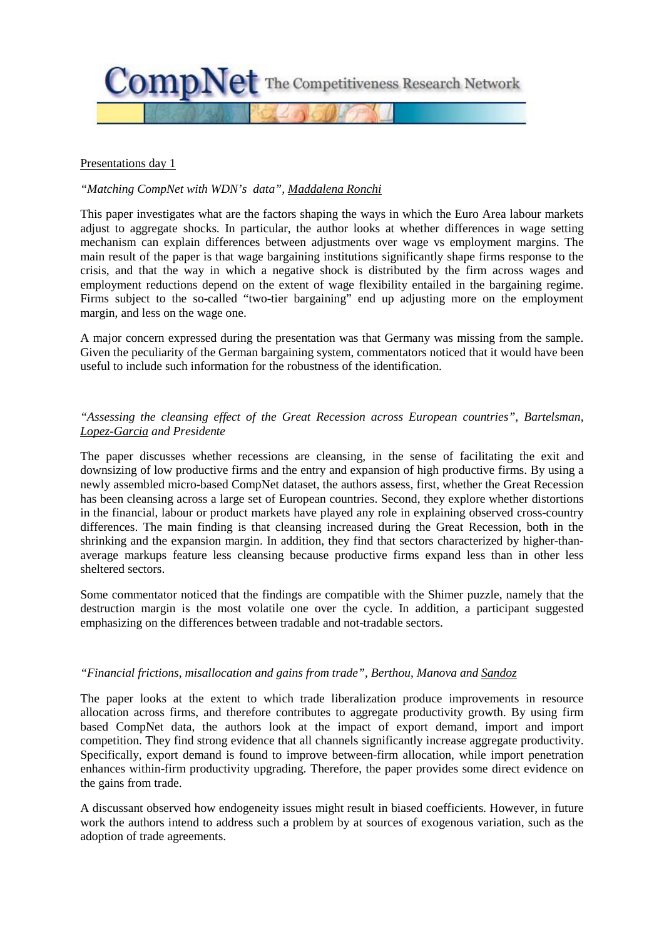

#### Presentations day 1

#### *"Matching CompNet with WDN's data", Maddalena Ronchi*

This paper investigates what are the factors shaping the ways in which the Euro Area labour markets adjust to aggregate shocks. In particular, the author looks at whether differences in wage setting mechanism can explain differences between adjustments over wage vs employment margins. The main result of the paper is that wage bargaining institutions significantly shape firms response to the crisis, and that the way in which a negative shock is distributed by the firm across wages and employment reductions depend on the extent of wage flexibility entailed in the bargaining regime. Firms subject to the so-called "two-tier bargaining" end up adjusting more on the employment margin, and less on the wage one.

A major concern expressed during the presentation was that Germany was missing from the sample. Given the peculiarity of the German bargaining system, commentators noticed that it would have been useful to include such information for the robustness of the identification.

#### *"Assessing the cleansing effect of the Great Recession across European countries", Bartelsman, Lopez-Garcia and Presidente*

The paper discusses whether recessions are cleansing, in the sense of facilitating the exit and downsizing of low productive firms and the entry and expansion of high productive firms. By using a newly assembled micro-based CompNet dataset, the authors assess, first, whether the Great Recession has been cleansing across a large set of European countries. Second, they explore whether distortions in the financial, labour or product markets have played any role in explaining observed cross-country differences. The main finding is that cleansing increased during the Great Recession, both in the shrinking and the expansion margin. In addition, they find that sectors characterized by higher-thanaverage markups feature less cleansing because productive firms expand less than in other less sheltered sectors.

Some commentator noticed that the findings are compatible with the Shimer puzzle, namely that the destruction margin is the most volatile one over the cycle. In addition, a participant suggested emphasizing on the differences between tradable and not-tradable sectors.

#### *"Financial frictions, misallocation and gains from trade", Berthou, Manova and Sandoz*

The paper looks at the extent to which trade liberalization produce improvements in resource allocation across firms, and therefore contributes to aggregate productivity growth. By using firm based CompNet data, the authors look at the impact of export demand, import and import competition. They find strong evidence that all channels significantly increase aggregate productivity. Specifically, export demand is found to improve between-firm allocation, while import penetration enhances within-firm productivity upgrading. Therefore, the paper provides some direct evidence on the gains from trade.

A discussant observed how endogeneity issues might result in biased coefficients. However, in future work the authors intend to address such a problem by at sources of exogenous variation, such as the adoption of trade agreements.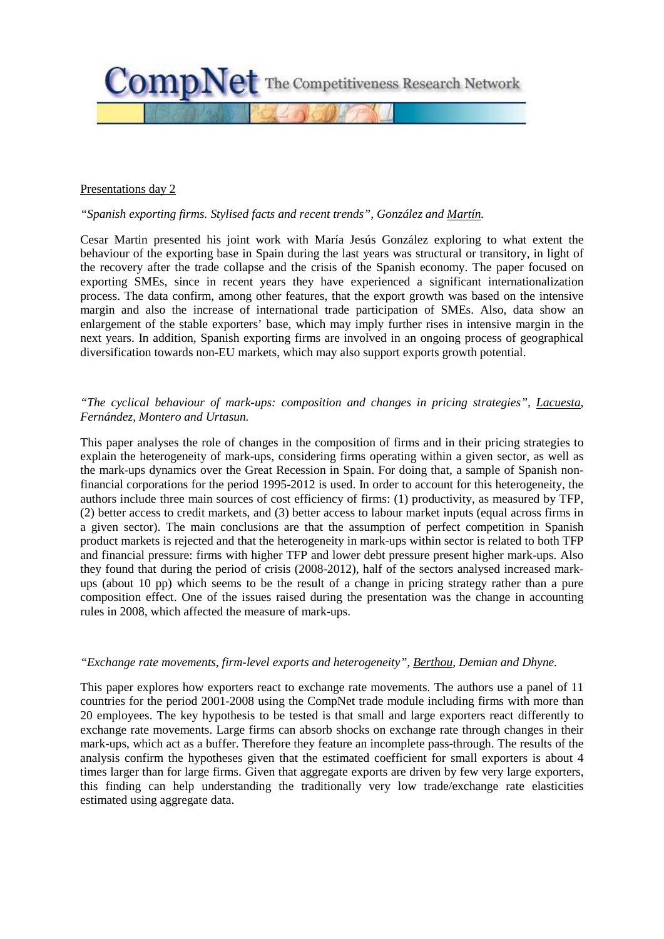

#### Presentations day 2

### *"Spanish exporting firms. Stylised facts and recent trends", González and Martín.*

Cesar Martin presented his joint work with María Jesús González exploring to what extent the behaviour of the exporting base in Spain during the last years was structural or transitory, in light of the recovery after the trade collapse and the crisis of the Spanish economy. The paper focused on exporting SMEs, since in recent years they have experienced a significant internationalization process. The data confirm, among other features, that the export growth was based on the intensive margin and also the increase of international trade participation of SMEs. Also, data show an enlargement of the stable exporters' base, which may imply further rises in intensive margin in the next years. In addition, Spanish exporting firms are involved in an ongoing process of geographical diversification towards non-EU markets, which may also support exports growth potential.

### *"The cyclical behaviour of mark-ups: composition and changes in pricing strategies", Lacuesta, Fernández, Montero and Urtasun.*

This paper analyses the role of changes in the composition of firms and in their pricing strategies to explain the heterogeneity of mark-ups, considering firms operating within a given sector, as well as the mark-ups dynamics over the Great Recession in Spain. For doing that, a sample of Spanish nonfinancial corporations for the period 1995-2012 is used. In order to account for this heterogeneity, the authors include three main sources of cost efficiency of firms: (1) productivity, as measured by TFP, (2) better access to credit markets, and (3) better access to labour market inputs (equal across firms in a given sector). The main conclusions are that the assumption of perfect competition in Spanish product markets is rejected and that the heterogeneity in mark-ups within sector is related to both TFP and financial pressure: firms with higher TFP and lower debt pressure present higher mark-ups. Also they found that during the period of crisis (2008-2012), half of the sectors analysed increased markups (about 10 pp) which seems to be the result of a change in pricing strategy rather than a pure composition effect. One of the issues raised during the presentation was the change in accounting rules in 2008, which affected the measure of mark-ups.

#### *"Exchange rate movements, firm-level exports and heterogeneity", Berthou, Demian and Dhyne.*

This paper explores how exporters react to exchange rate movements. The authors use a panel of 11 countries for the period 2001-2008 using the CompNet trade module including firms with more than 20 employees. The key hypothesis to be tested is that small and large exporters react differently to exchange rate movements. Large firms can absorb shocks on exchange rate through changes in their mark-ups, which act as a buffer. Therefore they feature an incomplete pass-through. The results of the analysis confirm the hypotheses given that the estimated coefficient for small exporters is about 4 times larger than for large firms. Given that aggregate exports are driven by few very large exporters, this finding can help understanding the traditionally very low trade/exchange rate elasticities estimated using aggregate data.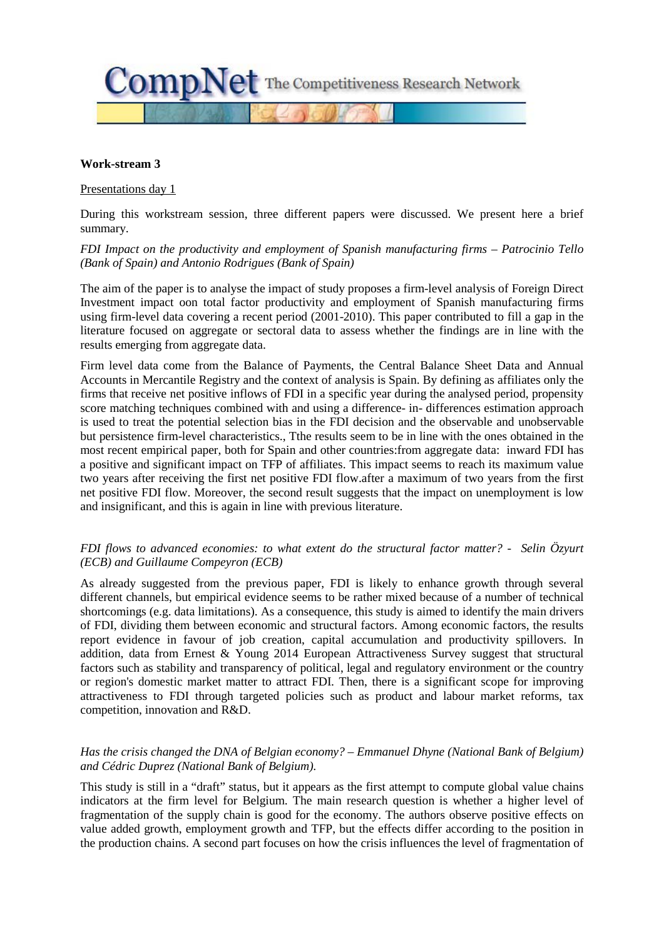

#### **Work-stream 3**

Presentations day 1

During this workstream session, three different papers were discussed. We present here a brief summary.

#### *FDI Impact on the productivity and employment of Spanish manufacturing firms – Patrocinio Tello (Bank of Spain) and Antonio Rodrigues (Bank of Spain)*

The aim of the paper is to analyse the impact of study proposes a firm-level analysis of Foreign Direct Investment impact oon total factor productivity and employment of Spanish manufacturing firms using firm-level data covering a recent period (2001-2010). This paper contributed to fill a gap in the literature focused on aggregate or sectoral data to assess whether the findings are in line with the results emerging from aggregate data.

Firm level data come from the Balance of Payments, the Central Balance Sheet Data and Annual Accounts in Mercantile Registry and the context of analysis is Spain. By defining as affiliates only the firms that receive net positive inflows of FDI in a specific year during the analysed period, propensity score matching techniques combined with and using a difference- in- differences estimation approach is used to treat the potential selection bias in the FDI decision and the observable and unobservable but persistence firm-level characteristics., Tthe results seem to be in line with the ones obtained in the most recent empirical paper, both for Spain and other countries:from aggregate data: inward FDI has a positive and significant impact on TFP of affiliates. This impact seems to reach its maximum value two years after receiving the first net positive FDI flow.after a maximum of two years from the first net positive FDI flow. Moreover, the second result suggests that the impact on unemployment is low and insignificant, and this is again in line with previous literature.

#### *FDI flows to advanced economies: to what extent do the structural factor matter? - Selin Özyurt (ECB) and Guillaume Compeyron (ECB)*

As already suggested from the previous paper, FDI is likely to enhance growth through several different channels, but empirical evidence seems to be rather mixed because of a number of technical shortcomings (e.g. data limitations). As a consequence, this study is aimed to identify the main drivers of FDI, dividing them between economic and structural factors. Among economic factors, the results report evidence in favour of job creation, capital accumulation and productivity spillovers. In addition, data from Ernest & Young 2014 European Attractiveness Survey suggest that structural factors such as stability and transparency of political, legal and regulatory environment or the country or region's domestic market matter to attract FDI. Then, there is a significant scope for improving attractiveness to FDI through targeted policies such as product and labour market reforms, tax competition, innovation and R&D.

### *Has the crisis changed the DNA of Belgian economy? – Emmanuel Dhyne (National Bank of Belgium) and Cédric Duprez (National Bank of Belgium).*

This study is still in a "draft" status, but it appears as the first attempt to compute global value chains indicators at the firm level for Belgium. The main research question is whether a higher level of fragmentation of the supply chain is good for the economy. The authors observe positive effects on value added growth, employment growth and TFP, but the effects differ according to the position in the production chains. A second part focuses on how the crisis influences the level of fragmentation of